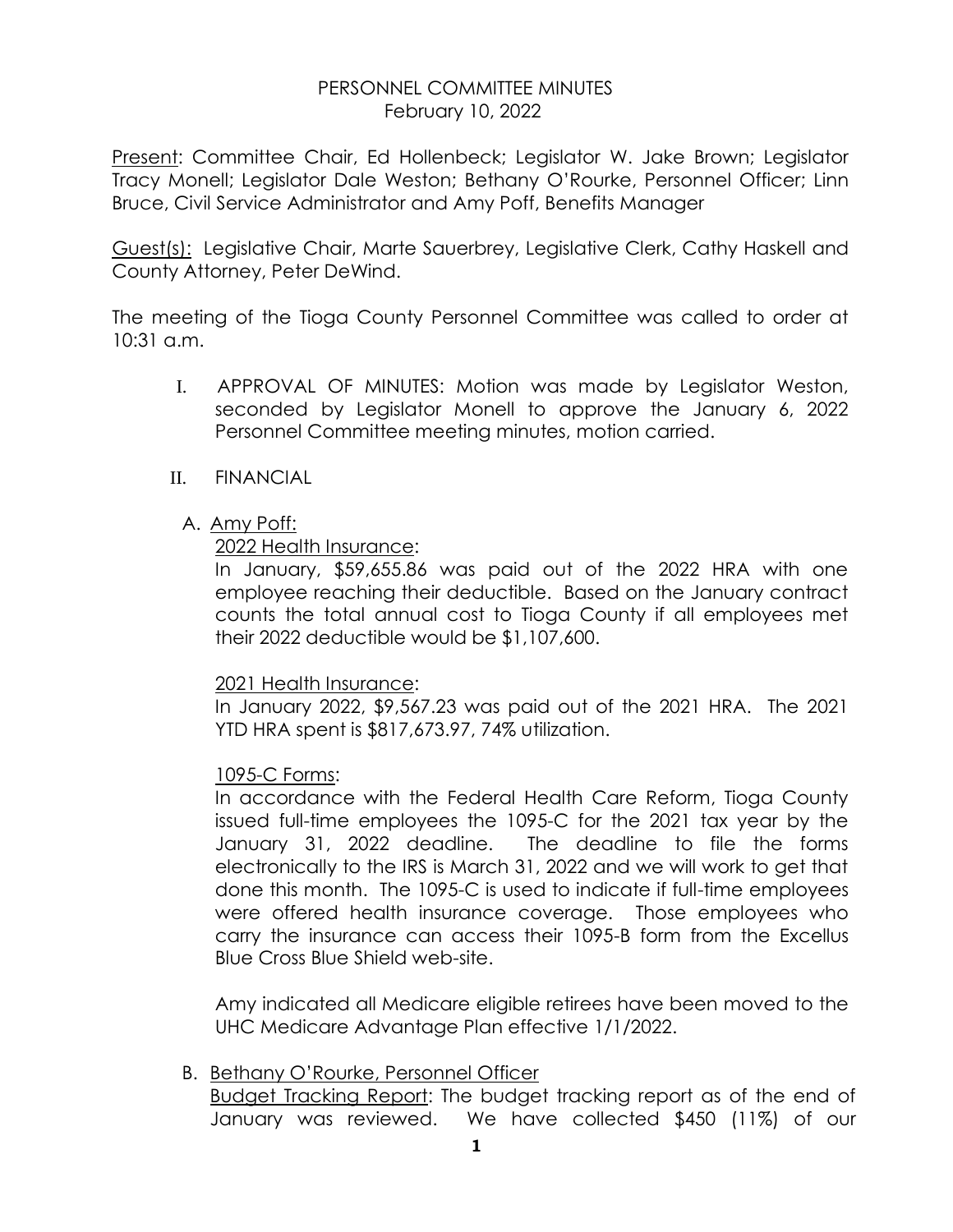### PERSONNEL COMMITTEE MINUTES February 10, 2022

Present: Committee Chair, Ed Hollenbeck; Legislator W. Jake Brown; Legislator Tracy Monell; Legislator Dale Weston; Bethany O'Rourke, Personnel Officer; Linn Bruce, Civil Service Administrator and Amy Poff, Benefits Manager

Guest(s): Legislative Chair, Marte Sauerbrey, Legislative Clerk, Cathy Haskell and County Attorney, Peter DeWind.

The meeting of the Tioga County Personnel Committee was called to order at 10:31 a.m.

- I. APPROVAL OF MINUTES: Motion was made by Legislator Weston, seconded by Legislator Monell to approve the January 6, 2022 Personnel Committee meeting minutes, motion carried.
- II. FINANCIAL
	- A. Amy Poff:

# 2022 Health Insurance:

In January, \$59,655.86 was paid out of the 2022 HRA with one employee reaching their deductible. Based on the January contract counts the total annual cost to Tioga County if all employees met their 2022 deductible would be \$1,107,600.

#### 2021 Health Insurance:

In January 2022, \$9,567.23 was paid out of the 2021 HRA. The 2021 YTD HRA spent is \$817,673.97, 74% utilization.

# 1095-C Forms:

In accordance with the Federal Health Care Reform, Tioga County issued full-time employees the 1095-C for the 2021 tax year by the January 31, 2022 deadline. The deadline to file the forms electronically to the IRS is March 31, 2022 and we will work to get that done this month. The 1095-C is used to indicate if full-time employees were offered health insurance coverage. Those employees who carry the insurance can access their 1095-B form from the Excellus Blue Cross Blue Shield web-site.

Amy indicated all Medicare eligible retirees have been moved to the UHC Medicare Advantage Plan effective 1/1/2022.

# B. Bethany O'Rourke, Personnel Officer

Budget Tracking Report: The budget tracking report as of the end of January was reviewed. We have collected \$450 (11%) of our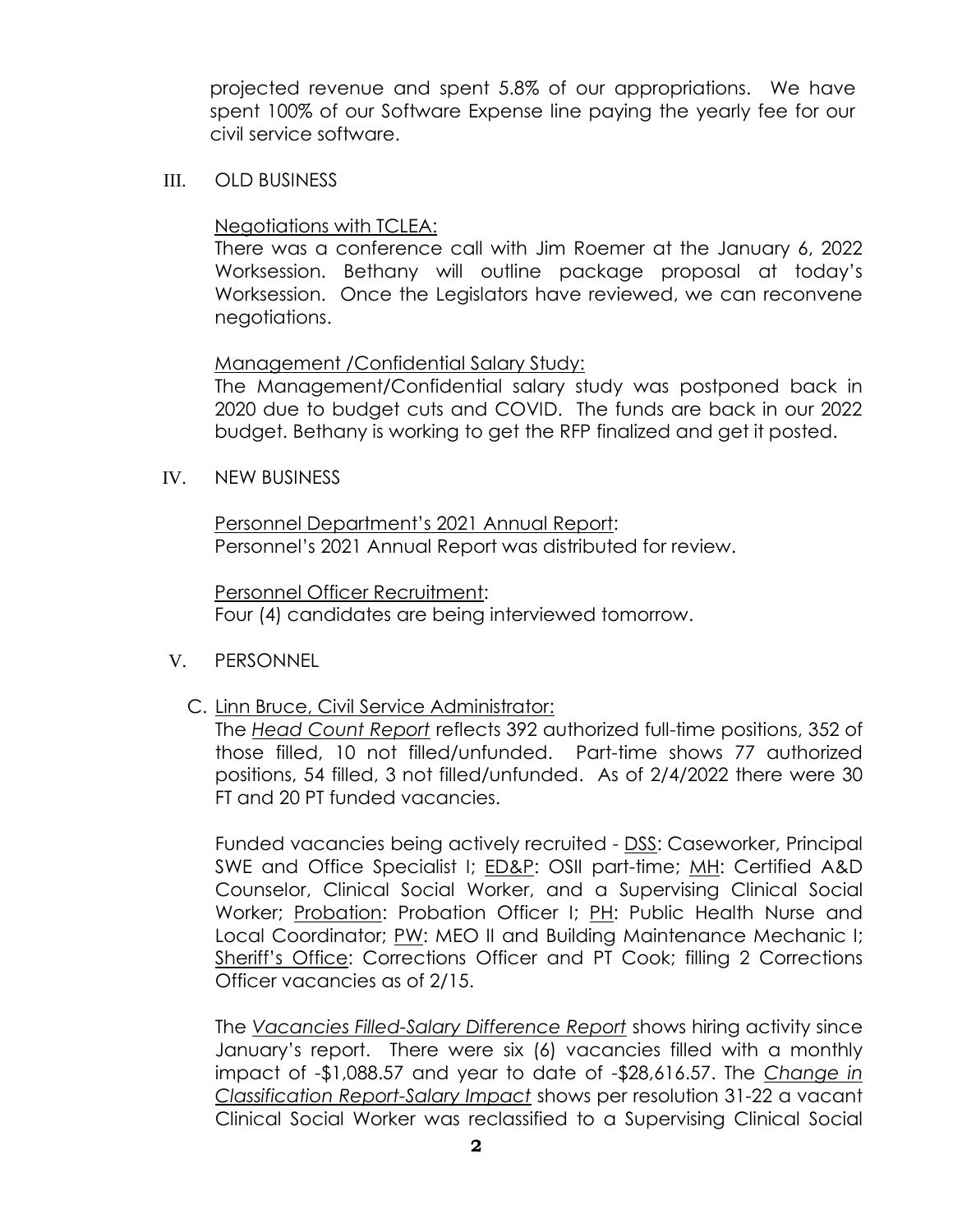projected revenue and spent 5.8% of our appropriations. We have spent 100% of our Software Expense line paying the yearly fee for our civil service software.

III. OLD BUSINESS

### Negotiations with TCLEA:

There was a conference call with Jim Roemer at the January 6, 2022 Worksession. Bethany will outline package proposal at today's Worksession. Once the Legislators have reviewed, we can reconvene negotiations.

# Management /Confidential Salary Study:

The Management/Confidential salary study was postponed back in 2020 due to budget cuts and COVID. The funds are back in our 2022 budget. Bethany is working to get the RFP finalized and get it posted.

IV. NEW BUSINESS

Personnel Department's 2021 Annual Report: Personnel's 2021 Annual Report was distributed for review.

Personnel Officer Recruitment: Four (4) candidates are being interviewed tomorrow.

- V. PERSONNEL
	- C. Linn Bruce, Civil Service Administrator:

The *Head Count Report* reflects 392 authorized full-time positions, 352 of those filled, 10 not filled/unfunded. Part-time shows 77 authorized positions, 54 filled, 3 not filled/unfunded. As of 2/4/2022 there were 30 FT and 20 PT funded vacancies.

Funded vacancies being actively recruited - DSS: Caseworker, Principal SWE and Office Specialist I; ED&P: OSII part-time; MH: Certified A&D Counselor, Clinical Social Worker, and a Supervising Clinical Social Worker; Probation: Probation Officer I; PH: Public Health Nurse and Local Coordinator; PW: MEO II and Building Maintenance Mechanic I; Sheriff's Office: Corrections Officer and PT Cook; filling 2 Corrections Officer vacancies as of 2/15.

The *Vacancies Filled-Salary Difference Report* shows hiring activity since January's report. There were six (6) vacancies filled with a monthly impact of -\$1,088.57 and year to date of -\$28,616.57. The *Change in Classification Report-Salary Impact* shows per resolution 31-22 a vacant Clinical Social Worker was reclassified to a Supervising Clinical Social